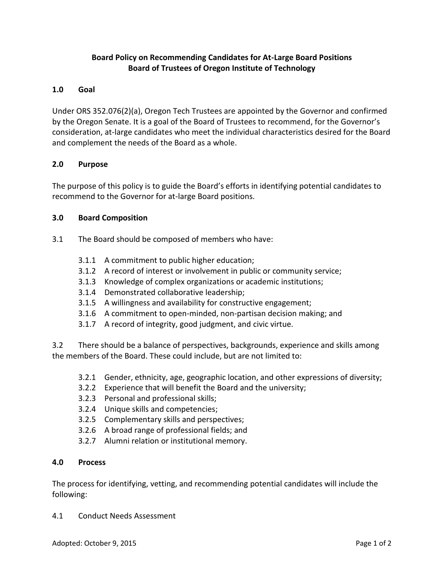# **Board Policy on Recommending Candidates for At-Large Board Positions Board of Trustees of Oregon Institute of Technology**

# **1.0 Goal**

Under ORS 352.076(2)(a), Oregon Tech Trustees are appointed by the Governor and confirmed by the Oregon Senate. It is a goal of the Board of Trustees to recommend, for the Governor's consideration, at-large candidates who meet the individual characteristics desired for the Board and complement the needs of the Board as a whole.

#### **2.0 Purpose**

The purpose of this policy is to guide the Board's efforts in identifying potential candidates to recommend to the Governor for at-large Board positions.

#### **3.0 Board Composition**

- 3.1 The Board should be composed of members who have:
	- 3.1.1 A commitment to public higher education;
	- 3.1.2 A record of interest or involvement in public or community service;
	- 3.1.3 Knowledge of complex organizations or academic institutions;
	- 3.1.4 Demonstrated collaborative leadership;
	- 3.1.5 A willingness and availability for constructive engagement;
	- 3.1.6 A commitment to open-minded, non-partisan decision making; and
	- 3.1.7 A record of integrity, good judgment, and civic virtue.

3.2 There should be a balance of perspectives, backgrounds, experience and skills among the members of the Board. These could include, but are not limited to:

- 3.2.1 Gender, ethnicity, age, geographic location, and other expressions of diversity;
- 3.2.2 Experience that will benefit the Board and the university;
- 3.2.3 Personal and professional skills;
- 3.2.4 Unique skills and competencies;
- 3.2.5 Complementary skills and perspectives;
- 3.2.6 A broad range of professional fields; and
- 3.2.7 Alumni relation or institutional memory.

# **4.0 Process**

The process for identifying, vetting, and recommending potential candidates will include the following:

4.1 Conduct Needs Assessment